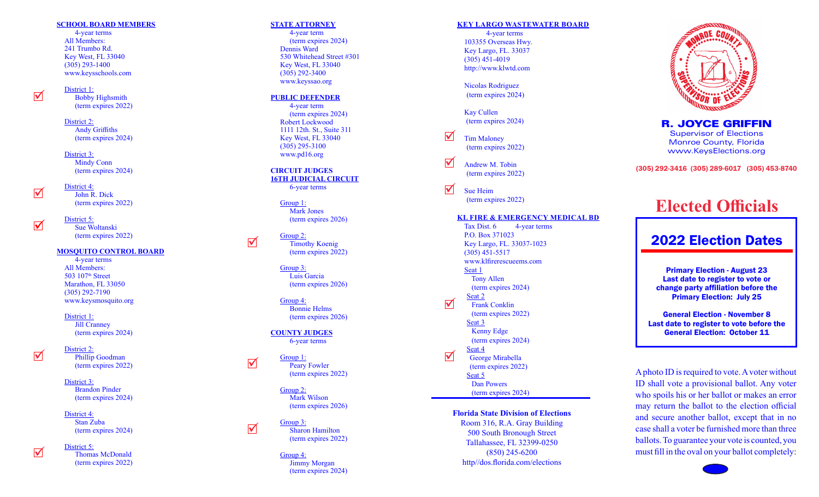#### **SCHOOL BOARD MEMBERS**

 4-year terms All Members: 241 Trumbo Rd. Key West, FL 33040 (305) 293-1400 www.keysschools.com

District 1: Bobby Highsmith (term expires 2022)

 $\blacktriangledown$ 

 $\overline{\mathbf{N}}$ 

District 2: Andy Griffiths (term expires 2024)

District 3: Mindy Conn (term expires 2024)

District 4: John R. Dick (term expires 2022)

District 5: Sue Woltanski (term expires 2022)

#### **MOSQUITO CONTROL BOARD**

 4-year terms All Members: 503 107<sup>th</sup> Street Marathon, FL 33050 (305) 292-7190 www.keysmosquito.org

District 1: Jill Cranney (term expires 2024)

  $\triangledown$ 

 $\blacktriangledown$ 

#### Phillip Goodman (term expires 2022)

District 2:

District 3: Brandon Pinder (term expires 2024)

District 4: Stan Zuba (term expires 2024)

# District 5:

 Thomas McDonald (term expires 2022)

#### **STATE ATTORNEY**

 4-year term (term expires 2024) Dennis Ward 530 Whitehead Street #301 Key West, FL 33040 (305) 292-3400 www.keyssao.org

#### **PUBLIC DEFENDER**

 4-year term (term expires 2024) Robert Lockwood 1111 12th. St., Suite 311 Key West, FL 33040 (305) 295-3100 www.pd16.org

#### **CIRCUIT JUDGES 16TH JUDICIAL CIRCUIT** 6-year terms

Group 1: Mark Jones (term expires 2026)

Group 2: Timothy Koenig (term expires 2022)

Group 3: Luis Garcia (term expires 2026)

Group 4: Bonnie Helms (term expires 2026)

**COUNTY JUDGES** 6-year terms

Group 1: Peary Fowler (term expires 2022)

 $\blacktriangledown$ 

 $\blacktriangledown$ 

 $\overline{\mathbf{v}}$ 

Group 2: Mark Wilson (term expires 2026)

Group 3: Sharon Hamilton (term expires 2022)

Group 4: Jimmy Morgan (term expires 2024)

#### **KEY LARGO WASTEWATER BOARD**

 4-year terms 103355 Overseas Hwy. Key Largo, FL. 33037 (305) 451-4019 http://www.klwtd.com

Nicolas Rodriguez (term expires 2024)

Kay Cullen (term expires 2024)

Tim Maloney (term expires 2022)  $\blacktriangledown$ 

V<br>V<br>V  $\blacktriangledown$ Andrew M. Tobin (term expires 2022)

 $\blacktriangledown$ Sue Heim (term expires 2022)

#### **KL FIRE & EMERGENCY MEDICAL BD**

Tax Dist. 6 4-year terms P.O. Box 371023 Key Largo, FL. 33037-1023 (305) 451-5517 www.klfirerescueems.com Seat 1 Tony Allen (term expires 2024) Seat 2 Frank Conklin (term expires 2022) Seat 3 Kenny Edge (term expires 2024) Seat 4 George Mirabella (term expires 2022) Seat 5 Dan Powers (term expires 2024)

 $\blacktriangledown$ 

 $\blacktriangledown$ 

### **Florida State Division of Elections**

Room 316, R.A. Gray Building 500 South Bronough Street Tallahassee, FL 32399-0250 (850) 245-6200 http//dos.florida.com/elections



R. JOYCE GRIFFIN Supervisor of Elections Monroe County, Florida www.KeysElections.org

(305) 292-3416 (305) 289-6017 (305) 453-8740

# **Elected Officials**

# 2022 Election Dates

Primary Election - August 23 Last date to register to vote or change party affiliation before the Primary Election: July 25

General Election - November 8 Last date to register to vote before the General Election: October 11

A photo ID is required to vote. A voter without ID shall vote a provisional ballot. Any voter who spoils his or her ballot or makes an error may return the ballot to the election official and secure another ballot, except that in no case shall a voter be furnished more than three ballots. To guarantee your vote is counted, you must fill in the oval on your ballot completely :